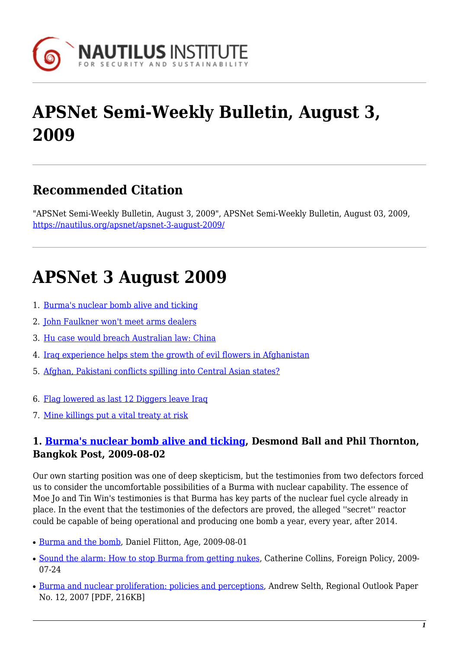

# **APSNet Semi-Weekly Bulletin, August 3, 2009**

# **Recommended Citation**

"APSNet Semi-Weekly Bulletin, August 3, 2009", APSNet Semi-Weekly Bulletin, August 03, 2009, <https://nautilus.org/apsnet/apsnet-3-august-2009/>

# **APSNet 3 August 2009**

- 1. [Burma's nuclear bomb alive and ticking](#page-0-0)
- 2. [John Faulkner won't meet arms dealers](#page-1-0)
- 3. [Hu case would breach Australian law: China](#page-1-1)
- 4. [Iraq experience helps stem the growth of evil flowers in Afghanistan](#page-1-2)
- 5. [Afghan, Pakistani conflicts spilling into Central Asian states?](#page-1-3)
- 6. [Flag lowered as last 12 Diggers leave Iraq](#page-1-4)
- 7. [Mine killings put a vital treaty at risk](#page-2-0)

### <span id="page-0-0"></span>**1. [Burma's nuclear bomb alive and ticking](http://www.bangkokpost.com/news/investigation/21362/burma-s-nuclear-bomb-alive-and-ticking), Desmond Ball and Phil Thornton, Bangkok Post, 2009-08-02**

Our own starting position was one of deep skepticism, but the testimonies from two defectors forced us to consider the uncomfortable possibilities of a Burma with nuclear capability. The essence of Moe Jo and Tin Win's testimonies is that Burma has key parts of the nuclear fuel cycle already in place. In the event that the testimonies of the defectors are proved, the alleged ''secret'' reactor could be capable of being operational and producing one bomb a year, every year, after 2014.

- [Burma and the bomb,](http://www.theage.com.au/world/burma-and-the-bomb-20090731-e4h6.html?page=-1) Daniel Flitton, Age, 2009-08-01
- [Sound the alarm: How to stop Burma from getting nukes,](http://www.foreignpolicy.com/articles/2009/07/24/sound_the_alarm?page=full) Catherine Collins, Foreign Policy, 2009-07-24
- [Burma and nuclear proliferation: policies and perceptions](http://www.griffith.edu.au/__data/assets/pdf_file/0015/18240/regional-outlook-volume-12.pdf), Andrew Selth, Regional Outlook Paper No. 12, 2007 [PDF, 216KB]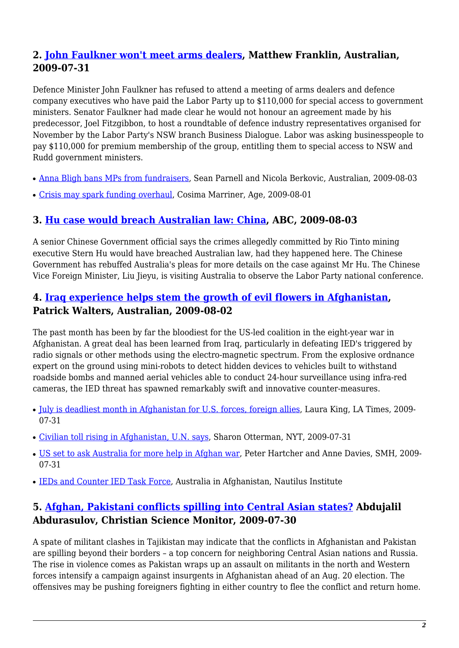# <span id="page-1-0"></span>**2. [John Faulkner won't meet arms dealers](http://www.theaustralian.news.com.au/story/0,25197,25860294-31477,00.html), Matthew Franklin, Australian, 2009-07-31**

Defence Minister John Faulkner has refused to attend a meeting of arms dealers and defence company executives who have paid the Labor Party up to \$110,000 for special access to government ministers. Senator Faulkner had made clear he would not honour an agreement made by his predecessor, Joel Fitzgibbon, to host a roundtable of defence industry representatives organised for November by the Labor Party's NSW branch Business Dialogue. Labor was asking businesspeople to pay \$110,000 for premium membership of the group, entitling them to special access to NSW and Rudd government ministers.

- [Anna Bligh bans MPs from fundraisers](http://www.theaustralian.news.com.au/story/0,25197,25873102-2702,00.html), Sean Parnell and Nicola Berkovic, Australian, 2009-08-03
- [Crisis may spark funding overhaul,](http://www.theage.com.au/national/crisis-may-spark-funding-overhaul-20090731-e4iy.html) Cosima Marriner, Age, 2009-08-01

#### <span id="page-1-1"></span>**3. [Hu case would breach Australian law: China](http://www.radioaustralianews.net.au/stories/200908/2643511.htm?desktop), ABC, 2009-08-03**

A senior Chinese Government official says the crimes allegedly committed by Rio Tinto mining executive Stern Hu would have breached Australian law, had they happened here. The Chinese Government has rebuffed Australia's pleas for more details on the case against Mr Hu. The Chinese Vice Foreign Minister, Liu Jieyu, is visiting Australia to observe the Labor Party national conference.

#### <span id="page-1-2"></span>**4. [Iraq experience helps stem the growth of evil flowers in Afghanistan,](http://www.theaustralian.news.com.au/story/0,25197,25863805-31477,00.html) Patrick Walters, Australian, 2009-08-02**

The past month has been by far the bloodiest for the US-led coalition in the eight-year war in Afghanistan. A great deal has been learned from Iraq, particularly in defeating IED's triggered by radio signals or other methods using the electro-magnetic spectrum. From the explosive ordnance expert on the ground using mini-robots to detect hidden devices to vehicles built to withstand roadside bombs and manned aerial vehicles able to conduct 24-hour surveillance using infra-red cameras, the IED threat has spawned remarkably swift and innovative counter-measures.

- [July is deadliest month in Afghanistan for U.S. forces, foreign allies](http://www.latimes.com/news/nationworld/world/la-fgw-afghanistan1-2009aug01,0,1527099.story), Laura King, LA Times, 2009-07-31
- [Civilian toll rising in Afghanistan, U.N. says,](http://www.nytimes.com/2009/08/01/world/asia/01afghan.html) Sharon Otterman, NYT, 2009-07-31
- [US set to ask Australia for more help in Afghan war,](http://www.watoday.com.au/world/us-set-to-ask-australia-for-more-help-in-afghan-war-20090731-e3io.html) Peter Hartcher and Anne Davies, SMH, 2009-07-31
- [IEDs and Counter IED Task Force,](http://nautilus.org/australian-security-general/ieds-and-counter-ied-task-force.html) Australia in Afghanistan, Nautilus Institute

### <span id="page-1-3"></span>**5. [Afghan, Pakistani conflicts spilling into Central Asian states?](http://www.csmonitor.com/2009/0731/p06s04-wosc.html) Abdujalil Abdurasulov, Christian Science Monitor, 2009-07-30**

<span id="page-1-4"></span>A spate of militant clashes in Tajikistan may indicate that the conflicts in Afghanistan and Pakistan are spilling beyond their borders – a top concern for neighboring Central Asian nations and Russia. The rise in violence comes as Pakistan wraps up an assault on militants in the north and Western forces intensify a campaign against insurgents in Afghanistan ahead of an Aug. 20 election. The offensives may be pushing foreigners fighting in either country to flee the conflict and return home.